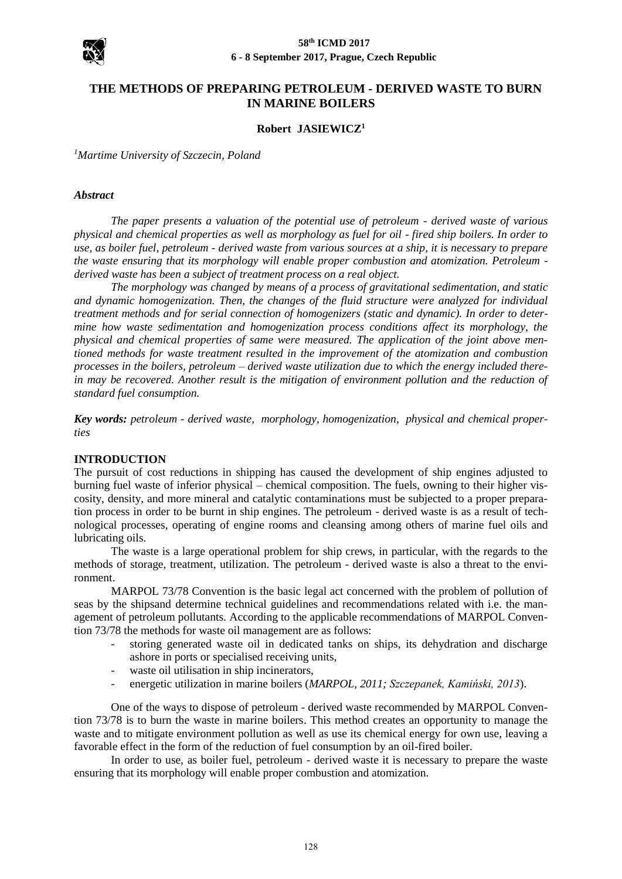

# **THE METHODS OF PREPARING PETROLEUM - DERIVED WASTE TO BURN IN MARINE BOILERS**

#### **Robert JASIEWICZ<sup>1</sup>**

*<sup>1</sup>Martime University of Szczecin, Poland*

#### *Abstract*

*The paper presents a valuation of the potential use of petroleum - derived waste of various physical and chemical properties as well as morphology as fuel for oil - fired ship boilers. In order to use, as boiler fuel, petroleum - derived waste from various sources at a ship, it is necessary to prepare the waste ensuring that its morphology will enable proper combustion and atomization. Petroleum derived waste has been a subject of treatment process on a real object.*

*The morphology was changed by means of a process of gravitational sedimentation, and static and dynamic homogenization. Then, the changes of the fluid structure were analyzed for individual treatment methods and for serial connection of homogenizers (static and dynamic). In order to determine how waste sedimentation and homogenization process conditions affect its morphology, the physical and chemical properties of same were measured. The application of the joint above mentioned methods for waste treatment resulted in the improvement of the atomization and combustion processes in the boilers, petroleum – derived waste utilization due to which the energy included therein may be recovered. Another result is the mitigation of environment pollution and the reduction of standard fuel consumption.*

*Key words: petroleum - derived waste, morphology, homogenization, physical and chemical properties*

#### **INTRODUCTION**

The pursuit of cost reductions in shipping has caused the development of ship engines adjusted to burning fuel waste of inferior physical – chemical composition. The fuels, owning to their higher viscosity, density, and more mineral and catalytic contaminations must be subjected to a proper preparation process in order to be burnt in ship engines. The petroleum - derived waste is as a result of technological processes, operating of engine rooms and cleansing among others of marine fuel oils and lubricating oils.

The waste is a large operational problem for ship crews, in particular, with the regards to the methods of storage, treatment, utilization. The petroleum - derived waste is also a threat to the environment.

MARPOL 73/78 Convention is the basic legal act concerned with the problem of pollution of seas by the shipsand determine technical guidelines and recommendations related with i.e. the management of petroleum pollutants. According to the applicable recommendations of MARPOL Convention 73/78 the methods for waste oil management are as follows:

- storing generated waste oil in dedicated tanks on ships, its dehydration and discharge ashore in ports or specialised receiving units,
- waste oil utilisation in ship incinerators,
- energetic utilization in marine boilers (*MARPOL, 2011; Szczepanek, Kamiński, 2013*).

One of the ways to dispose of petroleum - derived waste recommended by MARPOL Convention 73/78 is to burn the waste in marine boilers. This method creates an opportunity to manage the waste and to mitigate environment pollution as well as use its chemical energy for own use, leaving a favorable effect in the form of the reduction of fuel consumption by an oil-fired boiler.

In order to use, as boiler fuel, petroleum - derived waste it is necessary to prepare the waste ensuring that its morphology will enable proper combustion and atomization.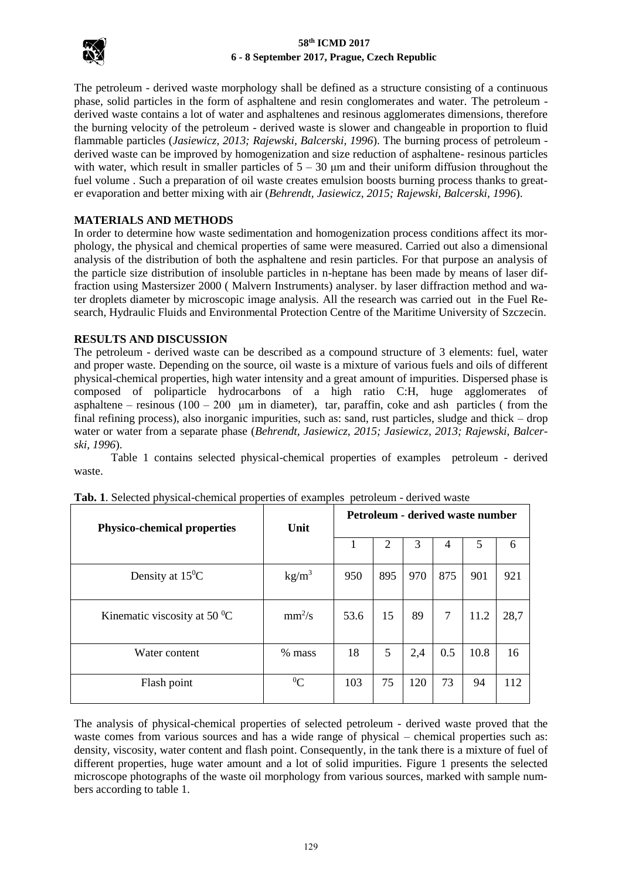

The petroleum - derived waste morphology shall be defined as a structure consisting of a continuous phase, solid particles in the form of asphaltene and resin conglomerates and water. The petroleum derived waste contains a lot of water and asphaltenes and resinous agglomerates dimensions, therefore the burning velocity of the petroleum - derived waste is slower and changeable in proportion to fluid flammable particles (*Jasiewicz, 2013; Rajewski, Balcerski, 1996*). The burning process of petroleum derived waste can be improved by homogenization and size reduction of asphaltene- resinous particles with water, which result in smaller particles of  $5 - 30$  µm and their uniform diffusion throughout the fuel volume . Such a preparation of oil waste creates emulsion boosts burning process thanks to greater evaporation and better mixing with air (*Behrendt, Jasiewicz, 2015; Rajewski, Balcerski, 1996*).

# **MATERIALS AND METHODS**

In order to determine how waste sedimentation and homogenization process conditions affect its morphology, the physical and chemical properties of same were measured. Carried out also a dimensional analysis of the distribution of both the asphaltene and resin particles. For that purpose an analysis of the particle size distribution of insoluble particles in n-heptane has been made by means of laser diffraction using Mastersizer 2000 ( Malvern Instruments) analyser. by laser diffraction method and water droplets diameter by microscopic image analysis. All the research was carried out in the Fuel Research, Hydraulic Fluids and Environmental Protection Centre of the Maritime University of Szczecin.

## **RESULTS AND DISCUSSION**

The petroleum - derived waste can be described as a compound structure of 3 elements: fuel, water and proper waste. Depending on the source, oil waste is a mixture of various fuels and oils of different physical-chemical properties, high water intensity and a great amount of impurities. Dispersed phase is composed of poliparticle hydrocarbons of a high ratio C:H, huge agglomerates of asphaltene – resinous  $(100 - 200 \mu m)$  in diameter), tar, paraffin, coke and ash particles (from the final refining process), also inorganic impurities, such as: sand, rust particles, sludge and thick – drop water or water from a separate phase (*Behrendt, Jasiewicz, 2015; Jasiewicz, 2013; Rajewski, Balcerski, 1996*).

Table 1 contains selected physical-chemical properties of examples petroleum - derived waste.

| <b>Physico-chemical properties</b>         | Unit              | Petroleum - derived waste number |     |     |     |      |      |
|--------------------------------------------|-------------------|----------------------------------|-----|-----|-----|------|------|
|                                            |                   | 1                                | 2   | 3   | 4   | 5    | 6    |
| Density at $15^{\circ}$ C                  | kg/m <sup>3</sup> | 950                              | 895 | 970 | 875 | 901  | 921  |
| Kinematic viscosity at 50 $\mathrm{^{0}C}$ | $mm^2/s$          | 53.6                             | 15  | 89  | 7   | 11.2 | 28,7 |
| Water content                              | % mass            | 18                               | 5   | 2,4 | 0.5 | 10.8 | 16   |
| Flash point                                | ${}^{0}C$         | 103                              | 75  | 120 | 73  | 94   | 112  |

| Tab. 1. Selected physical-chemical properties of examples petroleum - derived waste |
|-------------------------------------------------------------------------------------|
|-------------------------------------------------------------------------------------|

The analysis of physical-chemical properties of selected petroleum - derived waste proved that the waste comes from various sources and has a wide range of physical – chemical properties such as: density, viscosity, water content and flash point. Consequently, in the tank there is a mixture of fuel of different properties, huge water amount and a lot of solid impurities. Figure 1 presents the selected microscope photographs of the waste oil morphology from various sources, marked with sample numbers according to table 1.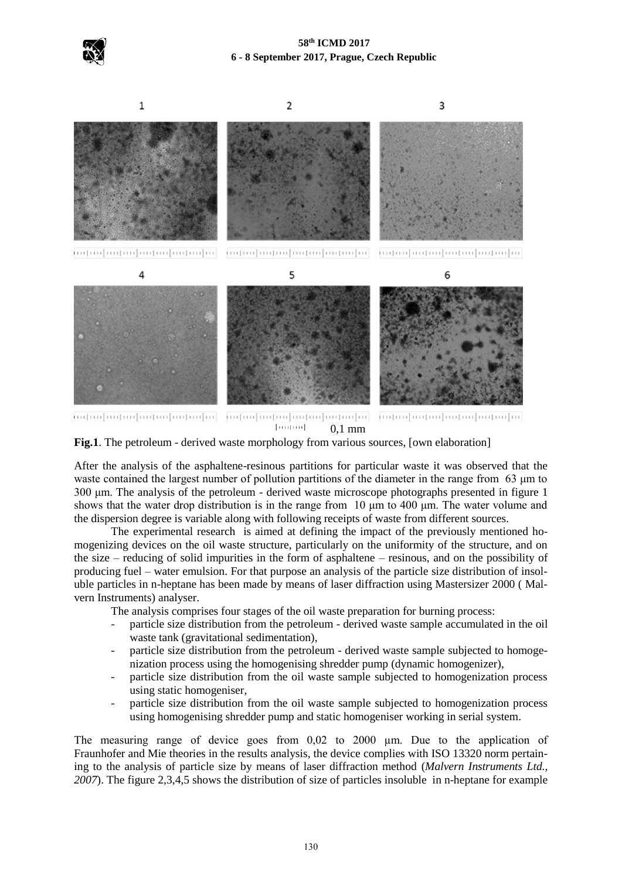



**Fig.1**. The petroleum - derived waste morphology from various sources, [own elaboration]

After the analysis of the asphaltene-resinous partitions for particular waste it was observed that the waste contained the largest number of pollution partitions of the diameter in the range from 63 μm to 300 μm. The analysis of the petroleum - derived waste microscope photographs presented in figure 1 shows that the water drop distribution is in the range from  $10 \mu m$  to  $400 \mu m$ . The water volume and the dispersion degree is variable along with following receipts of waste from different sources.

The experimental research is aimed at defining the impact of the previously mentioned homogenizing devices on the oil waste structure, particularly on the uniformity of the structure, and on the size – reducing of solid impurities in the form of asphaltene – resinous, and on the possibility of producing fuel – water emulsion. For that purpose an analysis of the particle size distribution of insoluble particles in n-heptane has been made by means of laser diffraction using Mastersizer 2000 ( Malvern Instruments) analyser.

The analysis comprises four stages of the oil waste preparation for burning process:

- particle size distribution from the petroleum derived waste sample accumulated in the oil waste tank (gravitational sedimentation),
- particle size distribution from the petroleum derived waste sample subjected to homogenization process using the homogenising shredder pump (dynamic homogenizer),
- particle size distribution from the oil waste sample subjected to homogenization process using static homogeniser,
- particle size distribution from the oil waste sample subjected to homogenization process using homogenising shredder pump and static homogeniser working in serial system.

The measuring range of device goes from 0,02 to 2000 µm. Due to the application of Fraunhofer and Mie theories in the results analysis, the device complies with ISO 13320 norm pertaining to the analysis of particle size by means of laser diffraction method (*Malvern Instruments Ltd., 2007*). The figure 2,3,4,5 shows the distribution of size of particles insoluble in n-heptane for example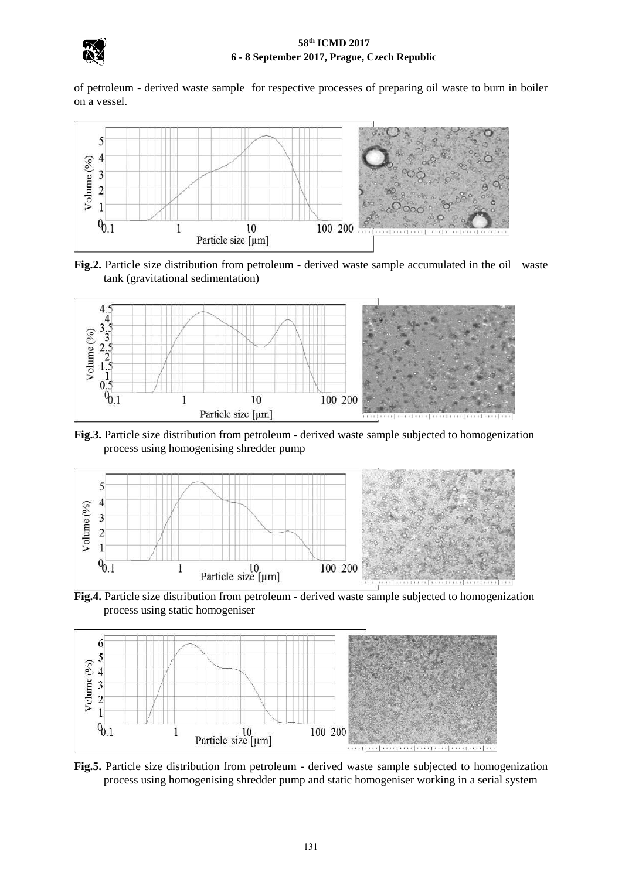

of petroleum - derived waste sample for respective processes of preparing oil waste to burn in boiler on a vessel.



**Fig.2.** Particle size distribution from petroleum - derived waste sample accumulated in the oil waste tank (gravitational sedimentation)



**Fig.3.** Particle size distribution from petroleum - derived waste sample subjected to homogenization process using homogenising shredder pump



**Fig.4.** Particle size distribution from petroleum - derived waste sample subjected to homogenization process using static homogeniser



**Fig.5.** Particle size distribution from petroleum - derived waste sample subjected to homogenization process using homogenising shredder pump and static homogeniser working in a serial system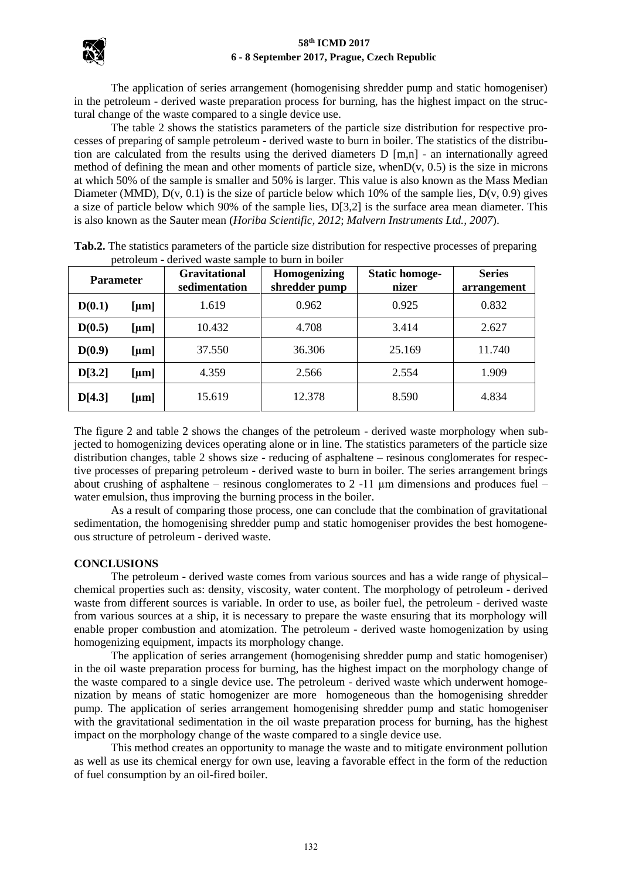

The application of series arrangement (homogenising shredder pump and static homogeniser) in the petroleum - derived waste preparation process for burning, has the highest impact on the structural change of the waste compared to a single device use.

The table 2 shows the statistics parameters of the particle size distribution for respective processes of preparing of sample petroleum - derived waste to burn in boiler. The statistics of the distribution are calculated from the results using the derived diameters D [m,n] - an internationally agreed method of defining the mean and other moments of particle size, when $D(v, 0.5)$  is the size in microns at which 50% of the sample is smaller and 50% is larger. This value is also known as the Mass Median Diameter (MMD),  $D(v, 0.1)$  is the size of particle below which 10% of the sample lies,  $D(v, 0.9)$  gives a size of particle below which 90% of the sample lies, D[3,2] is the surface area mean diameter. This is also known as the Sauter mean (*Horiba Scientific, 2012*; *Malvern Instruments Ltd., 2007*).

| <b>Parameter</b> |            | <b>Gravitational</b><br>sedimentation | Homogenizing<br>shredder pump | <b>Static homoge-</b><br>nizer | <b>Series</b><br>arrangement |  |
|------------------|------------|---------------------------------------|-------------------------------|--------------------------------|------------------------------|--|
| D(0.1)           | [ $\mu$ m] | 1.619                                 | 0.962                         | 0.925                          | 0.832                        |  |
| D(0.5)           | [ $\mu$ m] | 10.432                                | 4.708                         | 3.414                          | 2.627                        |  |
| D(0.9)           | [ $\mu$ m] | 37.550                                | 36.306                        | 25.169                         | 11.740                       |  |
| D[3.2]           | [ $\mu$ m] | 4.359                                 | 2.566                         | 2.554                          | 1.909                        |  |
| D[4.3]           | [ $\mu$ m] | 15.619                                | 12.378                        | 8.590                          | 4.834                        |  |

**Tab.2.** The statistics parameters of the particle size distribution for respective processes of preparing petroleum - derived waste sample to burn in boiler

The figure 2 and table 2 shows the changes of the petroleum - derived waste morphology when subjected to homogenizing devices operating alone or in line. The statistics parameters of the particle size distribution changes, table 2 shows size - reducing of asphaltene – resinous conglomerates for respective processes of preparing petroleum - derived waste to burn in boiler. The series arrangement brings about crushing of asphaltene – resinous conglomerates to 2 -11  $\mu$ m dimensions and produces fuel – water emulsion, thus improving the burning process in the boiler.

As a result of comparing those process, one can conclude that the combination of gravitational sedimentation, the homogenising shredder pump and static homogeniser provides the best homogeneous structure of petroleum - derived waste.

#### **CONCLUSIONS**

The petroleum - derived waste comes from various sources and has a wide range of physical– chemical properties such as: density, viscosity, water content. The morphology of petroleum - derived waste from different sources is variable. In order to use, as boiler fuel, the petroleum - derived waste from various sources at a ship, it is necessary to prepare the waste ensuring that its morphology will enable proper combustion and atomization. The petroleum - derived waste homogenization by using homogenizing equipment, impacts its morphology change.

The application of series arrangement (homogenising shredder pump and static homogeniser) in the oil waste preparation process for burning, has the highest impact on the morphology change of the waste compared to a single device use. The petroleum - derived waste which underwent homogenization by means of static homogenizer are more homogeneous than the homogenising shredder pump. The application of series arrangement homogenising shredder pump and static homogeniser with the gravitational sedimentation in the oil waste preparation process for burning, has the highest impact on the morphology change of the waste compared to a single device use.

This method creates an opportunity to manage the waste and to mitigate environment pollution as well as use its chemical energy for own use, leaving a favorable effect in the form of the reduction of fuel consumption by an oil-fired boiler.